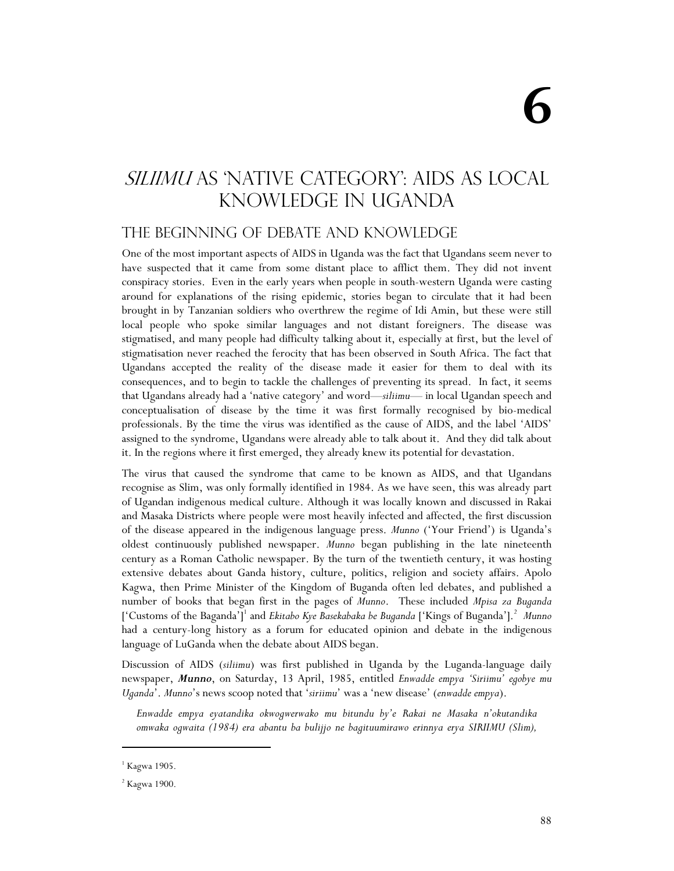## SILIIMU AS 'NATIVE CATEGORY': AIDS AS LOCAL Knowledge in Uganda

## The beginning of debate and knowledge

One of the most important aspects of AIDS in Uganda was the fact that Ugandans seem never to have suspected that it came from some distant place to afflict them. They did not invent conspiracy stories. Even in the early years when people in south-western Uganda were casting around for explanations of the rising epidemic, stories began to circulate that it had been brought in by Tanzanian soldiers who overthrew the regime of Idi Amin, but these were still local people who spoke similar languages and not distant foreigners. The disease was stigmatised, and many people had difficulty talking about it, especially at first, but the level of stigmatisation never reached the ferocity that has been observed in South Africa. The fact that Ugandans accepted the reality of the disease made it easier for them to deal with its consequences, and to begin to tackle the challenges of preventing its spread. In fact, it seems that Ugandans already had a 'native category' and word—*siliimu*— in local Ugandan speech and conceptualisation of disease by the time it was first formally recognised by bio-medical professionals. By the time the virus was identified as the cause of AIDS, and the label 'AIDS' assigned to the syndrome, Ugandans were already able to talk about it. And they did talk about it. In the regions where it first emerged, they already knew its potential for devastation.

The virus that caused the syndrome that came to be known as AIDS, and that Ugandans recognise as Slim, was only formally identified in 1984. As we have seen, this was already part of Ugandan indigenous medical culture. Although it was locally known and discussed in Rakai and Masaka Districts where people were most heavily infected and affected, the first discussion of the disease appeared in the indigenous language press. *Munno* ('Your Friend') is Uganda's oldest continuously published newspaper. *Munno* began publishing in the late nineteenth century as a Roman Catholic newspaper. By the turn of the twentieth century, it was hosting extensive debates about Ganda history, culture, politics, religion and society affairs. Apolo Kagwa, then Prime Minister of the Kingdom of Buganda often led debates, and published a number of books that began first in the pages of *Munno*. These included *Mpisa za Buganda* ['Customs of the Baganda']<sup>1</sup> and *Ekitabo Kye Basekabaka be Buganda* ['Kings of Buganda'].<sup>2</sup> Munno had a century-long history as a forum for educated opinion and debate in the indigenous language of LuGanda when the debate about AIDS began.

Discussion of AIDS (*siliimu*) was first published in Uganda by the Luganda-language daily newspaper, *Munno*, on Saturday, 13 April, 1985, entitled *Enwadde empya 'Siriimu' egobye mu Uganda*'. *Munno*'s news scoop noted that '*siriimu*' was a 'new disease' (*enwadde empya*).

*Enwadde empya eyatandika okwogwerwako mu bitundu by'e Rakai ne Masaka n'okutandika omwaka ogwaita (1984) era abantu ba bulijjo ne bagituumirawo erinnya erya SIRIIMU (Slim),* 

 $<sup>1</sup>$  Kagwa 1905.</sup>

<sup>&</sup>lt;sup>2</sup> Kagwa 1900.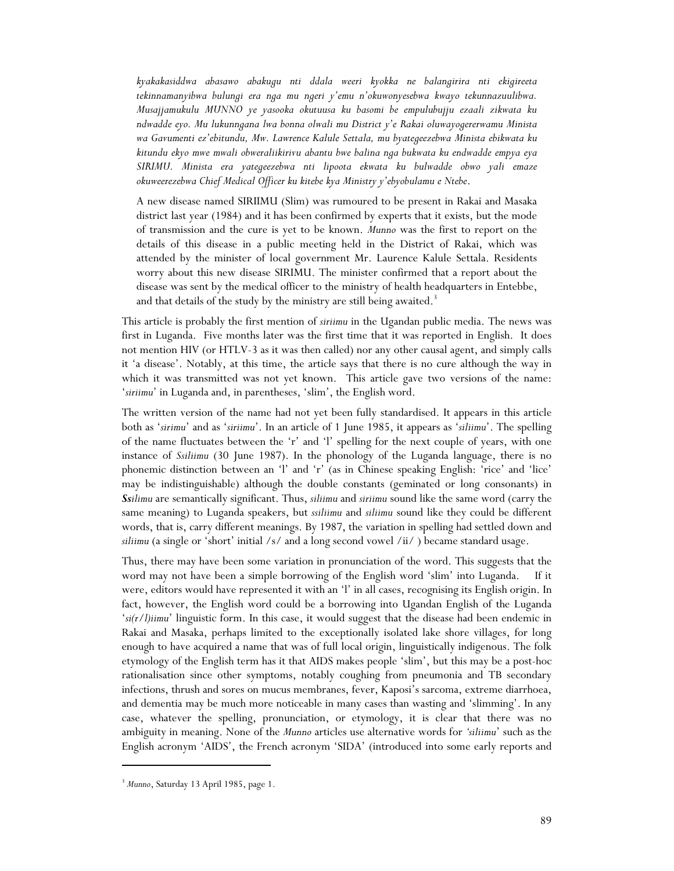*kyakakasiddwa abasawo abakugu nti ddala weeri kyokka ne balangirira nti ekigireeta tekinnamanyibwa bulungi era nga mu ngeri y'emu n'okuwonyesebwa kwayo tekunnazuulibwa. Musajjamukulu MUNNO ye yasooka okutuusa ku basomi be empulubujju ezaali zikwata ku ndwadde eyo. Mu lukunngana lwa bonna olwali mu District y'e Rakai oluwayogererwamu Minista wa Gavumenti ez'ebitundu, Mw. Lawrence Kalule Settala, mu byategeezebwa Minista ebikwata ku kitundu ekyo mwe mwali obweraliikirivu abantu bwe balina nga bukwata ku endwadde empya eya SIRIMU. Minista era yategeezebwa nti lipoota ekwata ku bulwadde obwo yali emaze okuweerezebwa Chief Medical Officer ku kitebe kya Ministry y'ebyobulamu e Ntebe*.

A new disease named SIRIIMU (Slim) was rumoured to be present in Rakai and Masaka district last year (1984) and it has been confirmed by experts that it exists, but the mode of transmission and the cure is yet to be known. *Munno* was the first to report on the details of this disease in a public meeting held in the District of Rakai, which was attended by the minister of local government Mr. Laurence Kalule Settala. Residents worry about this new disease SIRIMU. The minister confirmed that a report about the disease was sent by the medical officer to the ministry of health headquarters in Entebbe, and that details of the study by the ministry are still being awaited.<sup>3</sup>

This article is probably the first mention of *siriimu* in the Ugandan public media. The news was first in Luganda. Five months later was the first time that it was reported in English. It does not mention HIV (or HTLV-3 as it was then called) nor any other causal agent, and simply calls it 'a disease'. Notably, at this time, the article says that there is no cure although the way in which it was transmitted was not yet known. This article gave two versions of the name: '*siriimu*' in Luganda and, in parentheses, 'slim', the English word.

The written version of the name had not yet been fully standardised. It appears in this article both as '*sirimu*' and as '*siriimu*'. In an article of 1 June 1985, it appears as '*siliimu*'. The spelling of the name fluctuates between the 'r' and 'l' spelling for the next couple of years, with one instance of *Ssiliimu* (30 June 1987). In the phonology of the Luganda language, there is no phonemic distinction between an 'l' and 'r' (as in Chinese speaking English: 'rice' and 'lice' may be indistinguishable) although the double constants (geminated or long consonants) in *Ssilimu* are semantically significant. Thus, *siliimu* and *siriimu* sound like the same word (carry the same meaning) to Luganda speakers, but *ssiliimu* and *siliimu* sound like they could be different words, that is, carry different meanings. By 1987, the variation in spelling had settled down and *siliimu* (a single or 'short' initial /s/ and a long second vowel /ii/ ) became standard usage.

Thus, there may have been some variation in pronunciation of the word. This suggests that the word may not have been a simple borrowing of the English word 'slim' into Luganda. If it were, editors would have represented it with an 'l' in all cases, recognising its English origin. In fact, however, the English word could be a borrowing into Ugandan English of the Luganda '*si(r/l)iimu*' linguistic form. In this case, it would suggest that the disease had been endemic in Rakai and Masaka, perhaps limited to the exceptionally isolated lake shore villages, for long enough to have acquired a name that was of full local origin, linguistically indigenous. The folk etymology of the English term has it that AIDS makes people 'slim', but this may be a post-hoc rationalisation since other symptoms, notably coughing from pneumonia and TB secondary infections, thrush and sores on mucus membranes, fever, Kaposi's sarcoma, extreme diarrhoea, and dementia may be much more noticeable in many cases than wasting and 'slimming'. In any case, whatever the spelling, pronunciation, or etymology, it is clear that there was no ambiguity in meaning. None of the *Munno* articles use alternative words for *'siliimu*' such as the English acronym 'AIDS', the French acronym 'SIDA' (introduced into some early reports and

<sup>3</sup> *Munno*, Saturday 13 April 1985, page 1.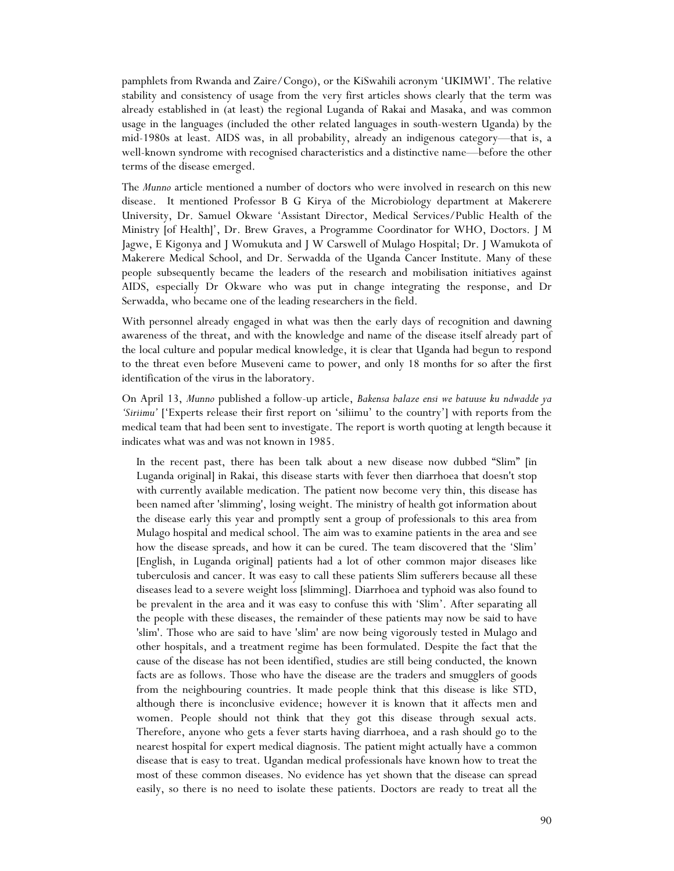pamphlets from Rwanda and Zaire/Congo), or the KiSwahili acronym 'UKIMWI'. The relative stability and consistency of usage from the very first articles shows clearly that the term was already established in (at least) the regional Luganda of Rakai and Masaka, and was common usage in the languages (included the other related languages in south-western Uganda) by the mid-1980s at least. AIDS was, in all probability, already an indigenous category—that is, a well-known syndrome with recognised characteristics and a distinctive name—before the other terms of the disease emerged.

The *Munno* article mentioned a number of doctors who were involved in research on this new disease. It mentioned Professor B G Kirya of the Microbiology department at Makerere University, Dr. Samuel Okware 'Assistant Director, Medical Services/Public Health of the Ministry [of Health]', Dr. Brew Graves, a Programme Coordinator for WHO, Doctors. J M Jagwe, E Kigonya and J Womukuta and J W Carswell of Mulago Hospital; Dr. J Wamukota of Makerere Medical School, and Dr. Serwadda of the Uganda Cancer Institute. Many of these people subsequently became the leaders of the research and mobilisation initiatives against AIDS, especially Dr Okware who was put in change integrating the response, and Dr Serwadda, who became one of the leading researchers in the field.

With personnel already engaged in what was then the early days of recognition and dawning awareness of the threat, and with the knowledge and name of the disease itself already part of the local culture and popular medical knowledge, it is clear that Uganda had begun to respond to the threat even before Museveni came to power, and only 18 months for so after the first identification of the virus in the laboratory.

On April 13, *Munno* published a follow-up article, *Bakensa balaze ensi we batuuse ku ndwadde ya 'Siriimu'* ['Experts release their first report on 'siliimu' to the country'] with reports from the medical team that had been sent to investigate. The report is worth quoting at length because it indicates what was and was not known in 1985.

In the recent past, there has been talk about a new disease now dubbed "Slim" [in Luganda original] in Rakai, this disease starts with fever then diarrhoea that doesn't stop with currently available medication. The patient now become very thin, this disease has been named after 'slimming', losing weight. The ministry of health got information about the disease early this year and promptly sent a group of professionals to this area from Mulago hospital and medical school. The aim was to examine patients in the area and see how the disease spreads, and how it can be cured. The team discovered that the 'Slim' [English, in Luganda original] patients had a lot of other common major diseases like tuberculosis and cancer. It was easy to call these patients Slim sufferers because all these diseases lead to a severe weight loss [slimming]. Diarrhoea and typhoid was also found to be prevalent in the area and it was easy to confuse this with 'Slim'. After separating all the people with these diseases, the remainder of these patients may now be said to have 'slim'. Those who are said to have 'slim' are now being vigorously tested in Mulago and other hospitals, and a treatment regime has been formulated. Despite the fact that the cause of the disease has not been identified, studies are still being conducted, the known facts are as follows. Those who have the disease are the traders and smugglers of goods from the neighbouring countries. It made people think that this disease is like STD, although there is inconclusive evidence; however it is known that it affects men and women. People should not think that they got this disease through sexual acts. Therefore, anyone who gets a fever starts having diarrhoea, and a rash should go to the nearest hospital for expert medical diagnosis. The patient might actually have a common disease that is easy to treat. Ugandan medical professionals have known how to treat the most of these common diseases. No evidence has yet shown that the disease can spread easily, so there is no need to isolate these patients. Doctors are ready to treat all the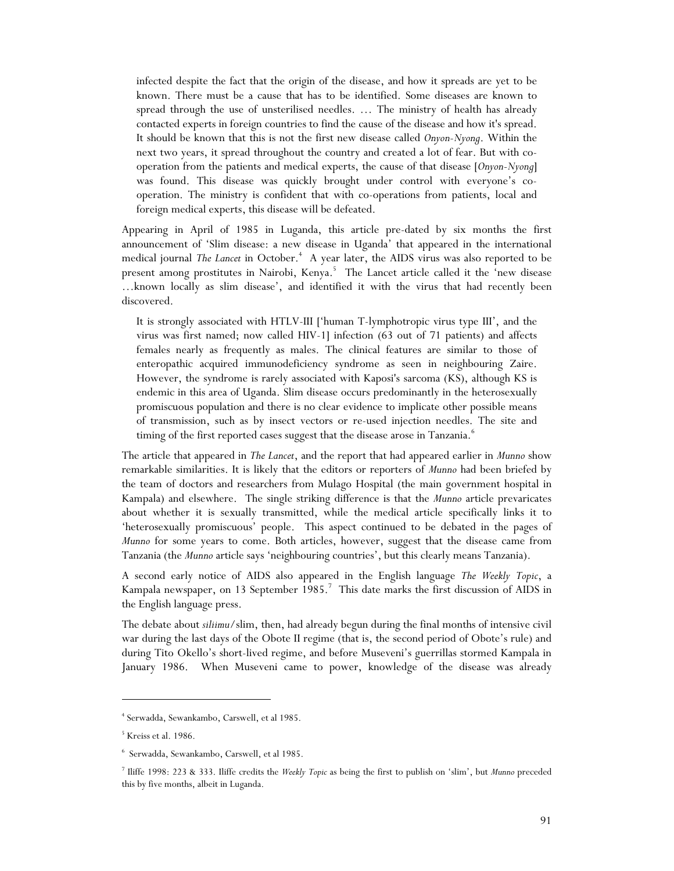infected despite the fact that the origin of the disease, and how it spreads are yet to be known. There must be a cause that has to be identified. Some diseases are known to spread through the use of unsterilised needles. … The ministry of health has already contacted experts in foreign countries to find the cause of the disease and how it's spread. It should be known that this is not the first new disease called *Onyon-Nyong*. Within the next two years, it spread throughout the country and created a lot of fear. But with cooperation from the patients and medical experts, the cause of that disease [*Onyon-Nyong*] was found. This disease was quickly brought under control with everyone's cooperation. The ministry is confident that with co-operations from patients, local and foreign medical experts, this disease will be defeated.

Appearing in April of 1985 in Luganda, this article pre-dated by six months the first announcement of 'Slim disease: a new disease in Uganda' that appeared in the international medical journal *The Lancet* in October.<sup>4</sup> A year later, the AIDS virus was also reported to be present among prostitutes in Nairobi, Kenya.<sup>5</sup> The Lancet article called it the 'new disease …known locally as slim disease', and identified it with the virus that had recently been discovered.

It is strongly associated with HTLV-III ['human T-lymphotropic virus type III', and the virus was first named; now called HIV-1] infection (63 out of 71 patients) and affects females nearly as frequently as males. The clinical features are similar to those of enteropathic acquired immunodeficiency syndrome as seen in neighbouring Zaire. However, the syndrome is rarely associated with Kaposi's sarcoma (KS), although KS is endemic in this area of Uganda. Slim disease occurs predominantly in the heterosexually promiscuous population and there is no clear evidence to implicate other possible means of transmission, such as by insect vectors or re-used injection needles. The site and timing of the first reported cases suggest that the disease arose in Tanzania.<sup>6</sup>

The article that appeared in *The Lancet*, and the report that had appeared earlier in *Munno* show remarkable similarities. It is likely that the editors or reporters of *Munno* had been briefed by the team of doctors and researchers from Mulago Hospital (the main government hospital in Kampala) and elsewhere. The single striking difference is that the *Munno* article prevaricates about whether it is sexually transmitted, while the medical article specifically links it to 'heterosexually promiscuous' people. This aspect continued to be debated in the pages of *Munno* for some years to come. Both articles, however, suggest that the disease came from Tanzania (the *Munno* article says 'neighbouring countries', but this clearly means Tanzania).

A second early notice of AIDS also appeared in the English language *The Weekly Topic*, a Kampala newspaper, on 13 September 1985.<sup>7</sup> This date marks the first discussion of AIDS in the English language press.

The debate about *siliimu*/slim, then, had already begun during the final months of intensive civil war during the last days of the Obote II regime (that is, the second period of Obote's rule) and during Tito Okello's short-lived regime, and before Museveni's guerrillas stormed Kampala in January 1986. When Museveni came to power, knowledge of the disease was already

<sup>4</sup> Serwadda, Sewankambo, Carswell, et al 1985.

<sup>5</sup> Kreiss et al. 1986.

<sup>6</sup> Serwadda, Sewankambo, Carswell, et al 1985.

<sup>7</sup> Iliffe 1998: 223 & 333. Iliffe credits the *Weekly Topic* as being the first to publish on 'slim', but *Munno* preceded this by five months, albeit in Luganda.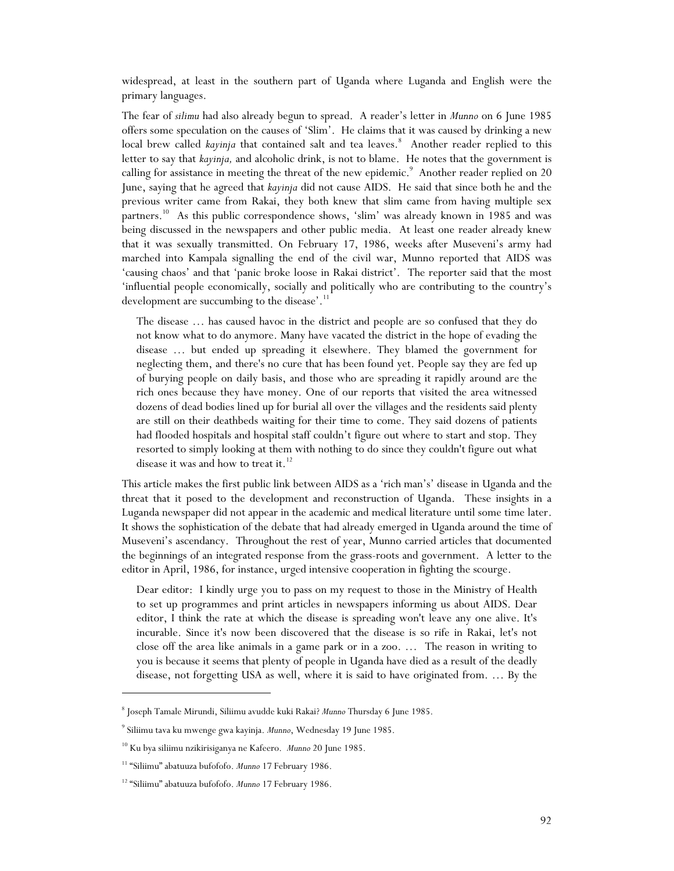widespread, at least in the southern part of Uganda where Luganda and English were the primary languages.

The fear of *silimu* had also already begun to spread. A reader's letter in *Munno* on 6 June 1985 offers some speculation on the causes of 'Slim'. He claims that it was caused by drinking a new local brew called *kayinja* that contained salt and tea leaves.<sup>8</sup> Another reader replied to this letter to say that *kayinja,* and alcoholic drink, is not to blame. He notes that the government is calling for assistance in meeting the threat of the new epidemic.<sup>9</sup> Another reader replied on 20 June, saying that he agreed that *kayinja* did not cause AIDS. He said that since both he and the previous writer came from Rakai, they both knew that slim came from having multiple sex partners.<sup>10</sup> As this public correspondence shows, 'slim' was already known in 1985 and was being discussed in the newspapers and other public media. At least one reader already knew that it was sexually transmitted. On February 17, 1986, weeks after Museveni's army had marched into Kampala signalling the end of the civil war, Munno reported that AIDS was 'causing chaos' and that 'panic broke loose in Rakai district'. The reporter said that the most 'influential people economically, socially and politically who are contributing to the country's development are succumbing to the disease'.<sup>11</sup>

The disease … has caused havoc in the district and people are so confused that they do not know what to do anymore. Many have vacated the district in the hope of evading the disease … but ended up spreading it elsewhere. They blamed the government for neglecting them, and there's no cure that has been found yet. People say they are fed up of burying people on daily basis, and those who are spreading it rapidly around are the rich ones because they have money. One of our reports that visited the area witnessed dozens of dead bodies lined up for burial all over the villages and the residents said plenty are still on their deathbeds waiting for their time to come. They said dozens of patients had flooded hospitals and hospital staff couldn't figure out where to start and stop. They resorted to simply looking at them with nothing to do since they couldn't figure out what disease it was and how to treat it. $12$ 

This article makes the first public link between AIDS as a 'rich man's' disease in Uganda and the threat that it posed to the development and reconstruction of Uganda. These insights in a Luganda newspaper did not appear in the academic and medical literature until some time later. It shows the sophistication of the debate that had already emerged in Uganda around the time of Museveni's ascendancy. Throughout the rest of year, Munno carried articles that documented the beginnings of an integrated response from the grass-roots and government. A letter to the editor in April, 1986, for instance, urged intensive cooperation in fighting the scourge.

Dear editor: I kindly urge you to pass on my request to those in the Ministry of Health to set up programmes and print articles in newspapers informing us about AIDS. Dear editor, I think the rate at which the disease is spreading won't leave any one alive. It's incurable. Since it's now been discovered that the disease is so rife in Rakai, let's not close off the area like animals in a game park or in a zoo. … The reason in writing to you is because it seems that plenty of people in Uganda have died as a result of the deadly disease, not forgetting USA as well, where it is said to have originated from. … By the

<sup>8</sup> Joseph Tamale Mirundi, Siliimu avudde kuki Rakai? *Munno* Thursday 6 June 1985.

<sup>9</sup> Siliimu tava ku mwenge gwa kayinja. *Munno*, Wednesday 19 June 1985.

<sup>10</sup> Ku bya siliimu nzikirisiganya ne Kafeero. *Munno* 20 June 1985.

<sup>11 &</sup>quot;Siliimu" abatuuza bufofofo. *Munno* 17 February 1986.

<sup>12 &</sup>quot;Siliimu" abatuuza bufofofo. *Munno* 17 February 1986.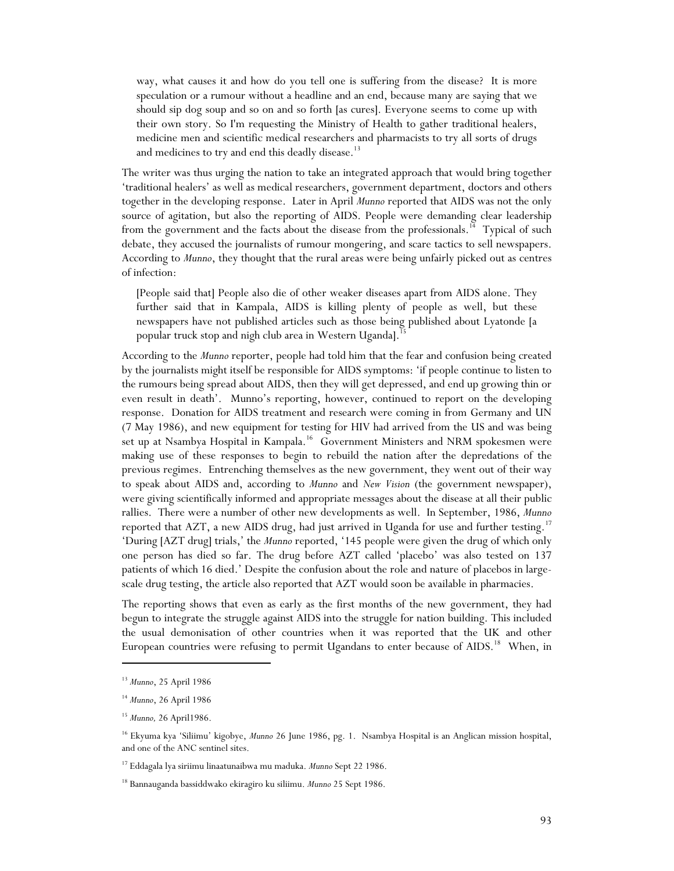way, what causes it and how do you tell one is suffering from the disease? It is more speculation or a rumour without a headline and an end, because many are saying that we should sip dog soup and so on and so forth [as cures]. Everyone seems to come up with their own story. So I'm requesting the Ministry of Health to gather traditional healers, medicine men and scientific medical researchers and pharmacists to try all sorts of drugs and medicines to try and end this deadly disease.<sup>13</sup>

The writer was thus urging the nation to take an integrated approach that would bring together 'traditional healers' as well as medical researchers, government department, doctors and others together in the developing response. Later in April *Munno* reported that AIDS was not the only source of agitation, but also the reporting of AIDS. People were demanding clear leadership from the government and the facts about the disease from the professionals.<sup>14</sup> Typical of such debate, they accused the journalists of rumour mongering, and scare tactics to sell newspapers. According to *Munno*, they thought that the rural areas were being unfairly picked out as centres of infection:

[People said that] People also die of other weaker diseases apart from AIDS alone. They further said that in Kampala, AIDS is killing plenty of people as well, but these newspapers have not published articles such as those being published about Lyatonde [a popular truck stop and nigh club area in Western Uganda].

According to the *Munno* reporter, people had told him that the fear and confusion being created by the journalists might itself be responsible for AIDS symptoms: 'if people continue to listen to the rumours being spread about AIDS, then they will get depressed, and end up growing thin or even result in death'. Munno's reporting, however, continued to report on the developing response. Donation for AIDS treatment and research were coming in from Germany and UN (7 May 1986), and new equipment for testing for HIV had arrived from the US and was being set up at Nsambya Hospital in Kampala.<sup>16</sup> Government Ministers and NRM spokesmen were making use of these responses to begin to rebuild the nation after the depredations of the previous regimes. Entrenching themselves as the new government, they went out of their way to speak about AIDS and, according to *Munno* and *New Vision* (the government newspaper), were giving scientifically informed and appropriate messages about the disease at all their public rallies. There were a number of other new developments as well. In September, 1986, *Munno* reported that AZT, a new AIDS drug, had just arrived in Uganda for use and further testing.<sup>17</sup> 'During [AZT drug] trials,' the *Munno* reported, '145 people were given the drug of which only one person has died so far. The drug before AZT called 'placebo' was also tested on 137 patients of which 16 died.' Despite the confusion about the role and nature of placebos in largescale drug testing, the article also reported that AZT would soon be available in pharmacies.

The reporting shows that even as early as the first months of the new government, they had begun to integrate the struggle against AIDS into the struggle for nation building. This included the usual demonisation of other countries when it was reported that the UK and other European countries were refusing to permit Ugandans to enter because of AIDS.<sup>18</sup> When, in

<sup>13</sup> *Munno*, 25 April 1986

<sup>14</sup> *Munno*, 26 April 1986

<sup>15</sup> *Munno,* 26 April1986.

<sup>16</sup> Ekyuma kya 'Siliimu' kigobye, *Munno* 26 June 1986, pg. 1. Nsambya Hospital is an Anglican mission hospital, and one of the ANC sentinel sites.

<sup>17</sup> Eddagala lya siriimu linaatunaibwa mu maduka. *Munno* Sept 22 1986.

<sup>18</sup> Bannauganda bassiddwako ekiragiro ku siliimu. *Munno* 25 Sept 1986.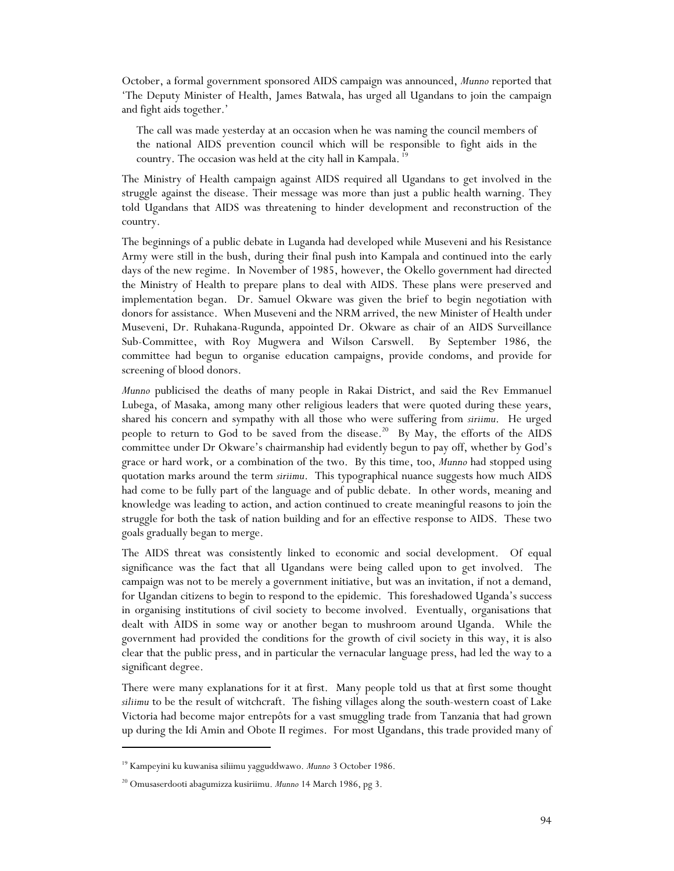October, a formal government sponsored AIDS campaign was announced, *Munno* reported that 'The Deputy Minister of Health, James Batwala, has urged all Ugandans to join the campaign and fight aids together.'

The call was made yesterday at an occasion when he was naming the council members of the national AIDS prevention council which will be responsible to fight aids in the country. The occasion was held at the city hall in Kampala.<sup>19</sup>

The Ministry of Health campaign against AIDS required all Ugandans to get involved in the struggle against the disease. Their message was more than just a public health warning. They told Ugandans that AIDS was threatening to hinder development and reconstruction of the country.

The beginnings of a public debate in Luganda had developed while Museveni and his Resistance Army were still in the bush, during their final push into Kampala and continued into the early days of the new regime. In November of 1985, however, the Okello government had directed the Ministry of Health to prepare plans to deal with AIDS. These plans were preserved and implementation began. Dr. Samuel Okware was given the brief to begin negotiation with donors for assistance. When Museveni and the NRM arrived, the new Minister of Health under Museveni, Dr. Ruhakana-Rugunda, appointed Dr. Okware as chair of an AIDS Surveillance Sub-Committee, with Roy Mugwera and Wilson Carswell. By September 1986, the committee had begun to organise education campaigns, provide condoms, and provide for screening of blood donors.

*Munno* publicised the deaths of many people in Rakai District, and said the Rev Emmanuel Lubega, of Masaka, among many other religious leaders that were quoted during these years, shared his concern and sympathy with all those who were suffering from *siriimu*. He urged people to return to God to be saved from the disease.<sup>20</sup> By May, the efforts of the AIDS committee under Dr Okware's chairmanship had evidently begun to pay off, whether by God's grace or hard work, or a combination of the two. By this time, too, *Munno* had stopped using quotation marks around the term *siriimu*. This typographical nuance suggests how much AIDS had come to be fully part of the language and of public debate. In other words, meaning and knowledge was leading to action, and action continued to create meaningful reasons to join the struggle for both the task of nation building and for an effective response to AIDS. These two goals gradually began to merge.

The AIDS threat was consistently linked to economic and social development. Of equal significance was the fact that all Ugandans were being called upon to get involved. The campaign was not to be merely a government initiative, but was an invitation, if not a demand, for Ugandan citizens to begin to respond to the epidemic. This foreshadowed Uganda's success in organising institutions of civil society to become involved. Eventually, organisations that dealt with AIDS in some way or another began to mushroom around Uganda. While the government had provided the conditions for the growth of civil society in this way, it is also clear that the public press, and in particular the vernacular language press, had led the way to a significant degree.

There were many explanations for it at first. Many people told us that at first some thought *siliimu* to be the result of witchcraft. The fishing villages along the south-western coast of Lake Victoria had become major entrepôts for a vast smuggling trade from Tanzania that had grown up during the Idi Amin and Obote II regimes. For most Ugandans, this trade provided many of

<sup>19</sup> Kampeyini ku kuwanisa siliimu yagguddwawo. *Munno* 3 October 1986.

<sup>20</sup> Omusaserdooti abagumizza kusiriimu. *Munno* 14 March 1986, pg 3.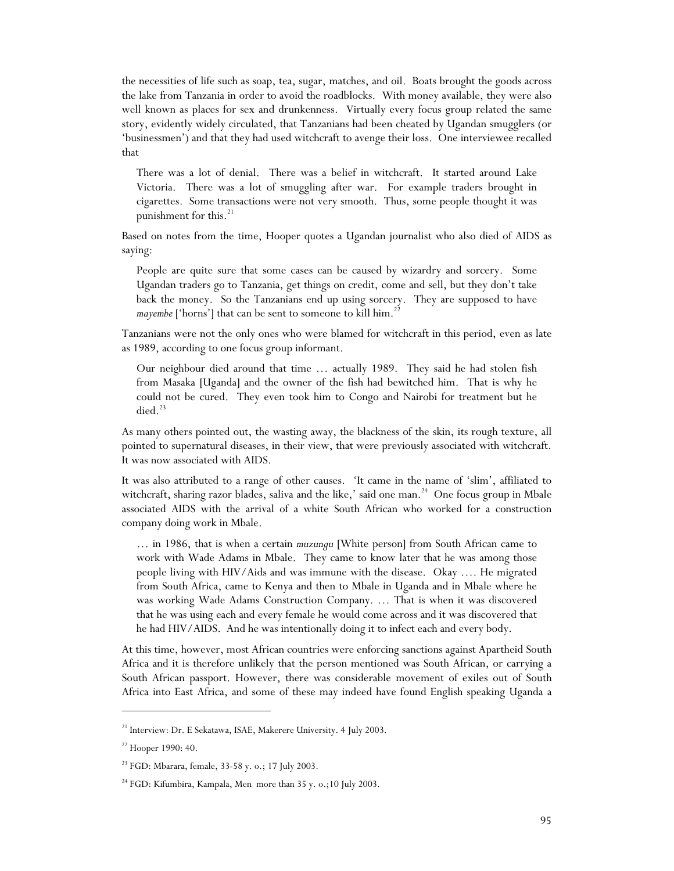the necessities of life such as soap, tea, sugar, matches, and oil. Boats brought the goods across the lake from Tanzania in order to avoid the roadblocks. With money available, they were also well known as places for sex and drunkenness. Virtually every focus group related the same story, evidently widely circulated, that Tanzanians had been cheated by Ugandan smugglers (or 'businessmen') and that they had used witchcraft to avenge their loss. One interviewee recalled that

There was a lot of denial. There was a belief in witchcraft. It started around Lake Victoria. There was a lot of smuggling after war. For example traders brought in cigarettes. Some transactions were not very smooth. Thus, some people thought it was punishment for this.<sup>21</sup>

Based on notes from the time, Hooper quotes a Ugandan journalist who also died of AIDS as saying:

People are quite sure that some cases can be caused by wizardry and sorcery. Some Ugandan traders go to Tanzania, get things on credit, come and sell, but they don't take back the money. So the Tanzanians end up using sorcery. They are supposed to have *mayembe* ['horns'] that can be sent to someone to kill him.<sup>22</sup>

Tanzanians were not the only ones who were blamed for witchcraft in this period, even as late as 1989, according to one focus group informant.

Our neighbour died around that time … actually 1989. They said he had stolen fish from Masaka [Uganda] and the owner of the fish had bewitched him. That is why he could not be cured. They even took him to Congo and Nairobi for treatment but he died.<sup>23</sup>

As many others pointed out, the wasting away, the blackness of the skin, its rough texture, all pointed to supernatural diseases, in their view, that were previously associated with witchcraft. It was now associated with AIDS.

It was also attributed to a range of other causes. 'It came in the name of 'slim', affiliated to witchcraft, sharing razor blades, saliva and the like,' said one man.<sup>24</sup> One focus group in Mbale associated AIDS with the arrival of a white South African who worked for a construction company doing work in Mbale.

… in 1986, that is when a certain *muzungu* [White person] from South African came to work with Wade Adams in Mbale. They came to know later that he was among those people living with HIV/Aids and was immune with the disease. Okay …. He migrated from South Africa, came to Kenya and then to Mbale in Uganda and in Mbale where he was working Wade Adams Construction Company. … That is when it was discovered that he was using each and every female he would come across and it was discovered that he had HIV/AIDS. And he was intentionally doing it to infect each and every body.

At this time, however, most African countries were enforcing sanctions against Apartheid South Africa and it is therefore unlikely that the person mentioned was South African, or carrying a South African passport. However, there was considerable movement of exiles out of South Africa into East Africa, and some of these may indeed have found English speaking Uganda a

<sup>&</sup>lt;sup>21</sup> Interview: Dr. E Sekatawa, ISAE, Makerere University. 4 July 2003.

<sup>22</sup> Hooper 1990: 40.

<sup>&</sup>lt;sup>23</sup> FGD: Mbarara, female, 33-58 y. o.; 17 July 2003.

 $24$  FGD: Kifumbira, Kampala, Men more than 35 y. o.; 10 July 2003.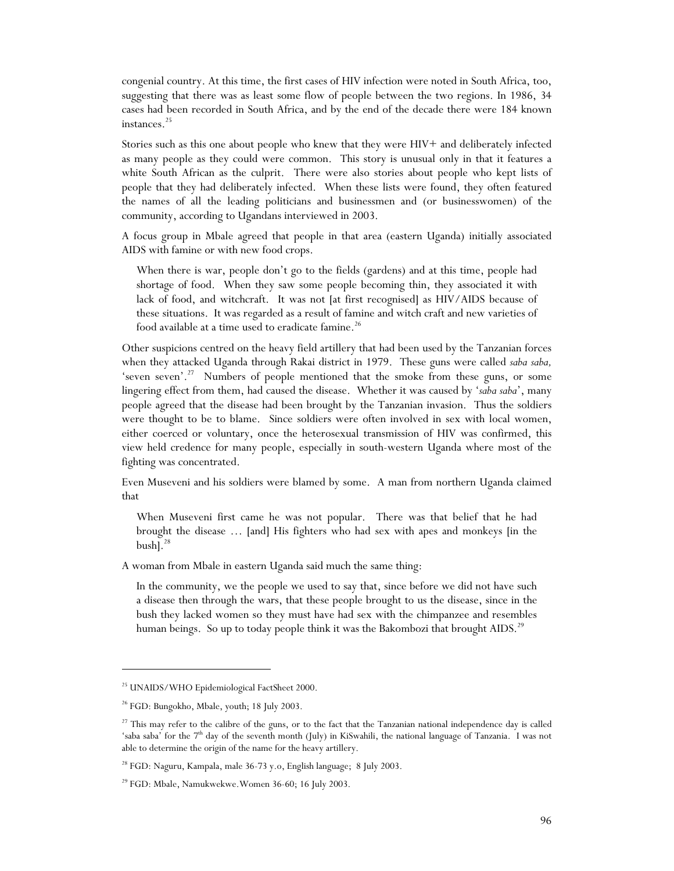congenial country. At this time, the first cases of HIV infection were noted in South Africa, too, suggesting that there was as least some flow of people between the two regions. In 1986, 34 cases had been recorded in South Africa, and by the end of the decade there were 184 known instances.25

Stories such as this one about people who knew that they were HIV+ and deliberately infected as many people as they could were common. This story is unusual only in that it features a white South African as the culprit. There were also stories about people who kept lists of people that they had deliberately infected. When these lists were found, they often featured the names of all the leading politicians and businessmen and (or businesswomen) of the community, according to Ugandans interviewed in 2003.

A focus group in Mbale agreed that people in that area (eastern Uganda) initially associated AIDS with famine or with new food crops.

When there is war, people don't go to the fields (gardens) and at this time, people had shortage of food. When they saw some people becoming thin, they associated it with lack of food, and witchcraft. It was not [at first recognised] as HIV/AIDS because of these situations. It was regarded as a result of famine and witch craft and new varieties of food available at a time used to eradicate famine.<sup>26</sup>

Other suspicions centred on the heavy field artillery that had been used by the Tanzanian forces when they attacked Uganda through Rakai district in 1979. These guns were called *saba saba,*  'seven seven'.<sup>27</sup> Numbers of people mentioned that the smoke from these guns, or some lingering effect from them, had caused the disease. Whether it was caused by '*saba saba*', many people agreed that the disease had been brought by the Tanzanian invasion. Thus the soldiers were thought to be to blame. Since soldiers were often involved in sex with local women, either coerced or voluntary, once the heterosexual transmission of HIV was confirmed, this view held credence for many people, especially in south-western Uganda where most of the fighting was concentrated.

Even Museveni and his soldiers were blamed by some. A man from northern Uganda claimed that

When Museveni first came he was not popular. There was that belief that he had brought the disease … [and] His fighters who had sex with apes and monkeys [in the bush]. $^{28}$ 

A woman from Mbale in eastern Uganda said much the same thing:

In the community, we the people we used to say that, since before we did not have such a disease then through the wars, that these people brought to us the disease, since in the bush they lacked women so they must have had sex with the chimpanzee and resembles human beings. So up to today people think it was the Bakombozi that brought AIDS.<sup>29</sup>

<sup>&</sup>lt;sup>25</sup> UNAIDS/WHO Epidemiological FactSheet 2000.

<sup>&</sup>lt;sup>26</sup> FGD: Bungokho, Mbale, youth; 18 July 2003.

<sup>&</sup>lt;sup>27</sup> This may refer to the calibre of the guns, or to the fact that the Tanzanian national independence day is called 'saba saba' for the 7th day of the seventh month (July) in KiSwahili, the national language of Tanzania. I was not able to determine the origin of the name for the heavy artillery.

<sup>&</sup>lt;sup>28</sup> FGD: Naguru, Kampala, male 36-73 y.o, English language; 8 July 2003.

 $29$  FGD: Mbale, Namukwekwe. Women 36-60; 16 July 2003.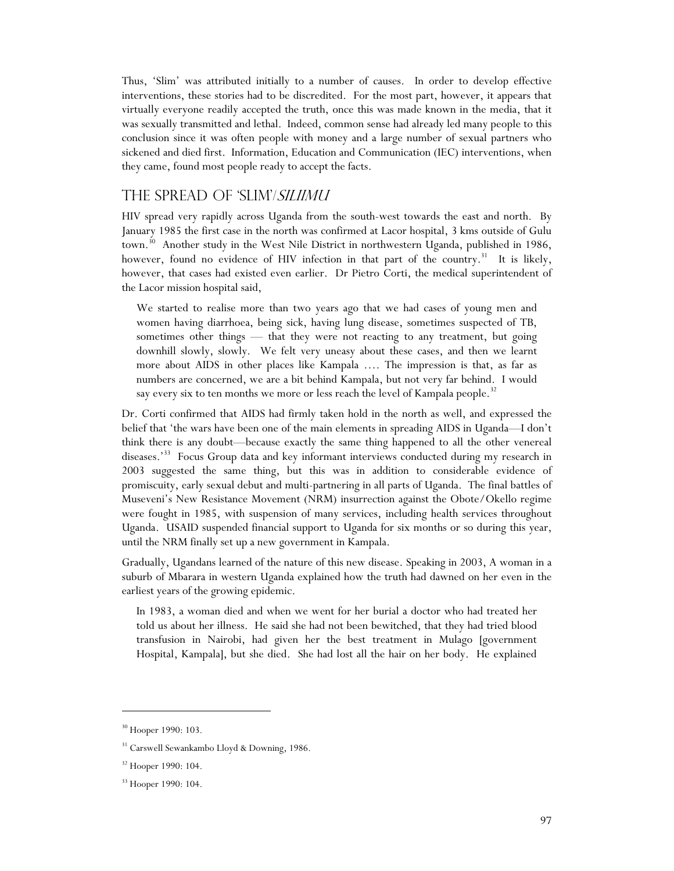Thus, 'Slim' was attributed initially to a number of causes. In order to develop effective interventions, these stories had to be discredited. For the most part, however, it appears that virtually everyone readily accepted the truth, once this was made known in the media, that it was sexually transmitted and lethal. Indeed, common sense had already led many people to this conclusion since it was often people with money and a large number of sexual partners who sickened and died first. Information, Education and Communication (IEC) interventions, when they came, found most people ready to accept the facts.

## THE SPREAD OF 'SLIM'/SILIIMU

HIV spread very rapidly across Uganda from the south-west towards the east and north. By January 1985 the first case in the north was confirmed at Lacor hospital, 3 kms outside of Gulu town.<sup>30</sup> Another study in the West Nile District in northwestern Uganda, published in 1986, however, found no evidence of HIV infection in that part of the country.<sup>31</sup> It is likely, however, that cases had existed even earlier. Dr Pietro Corti, the medical superintendent of the Lacor mission hospital said,

We started to realise more than two years ago that we had cases of young men and women having diarrhoea, being sick, having lung disease, sometimes suspected of TB, sometimes other things — that they were not reacting to any treatment, but going downhill slowly, slowly. We felt very uneasy about these cases, and then we learnt more about AIDS in other places like Kampala …. The impression is that, as far as numbers are concerned, we are a bit behind Kampala, but not very far behind. I would say every six to ten months we more or less reach the level of Kampala people.<sup>32</sup>

Dr. Corti confirmed that AIDS had firmly taken hold in the north as well, and expressed the belief that 'the wars have been one of the main elements in spreading AIDS in Uganda—I don't think there is any doubt—because exactly the same thing happened to all the other venereal diseases.'<sup>33</sup> Focus Group data and key informant interviews conducted during my research in 2003 suggested the same thing, but this was in addition to considerable evidence of promiscuity, early sexual debut and multi-partnering in all parts of Uganda. The final battles of Museveni's New Resistance Movement (NRM) insurrection against the Obote/Okello regime were fought in 1985, with suspension of many services, including health services throughout Uganda. USAID suspended financial support to Uganda for six months or so during this year, until the NRM finally set up a new government in Kampala.

Gradually, Ugandans learned of the nature of this new disease. Speaking in 2003, A woman in a suburb of Mbarara in western Uganda explained how the truth had dawned on her even in the earliest years of the growing epidemic.

In 1983, a woman died and when we went for her burial a doctor who had treated her told us about her illness. He said she had not been bewitched, that they had tried blood transfusion in Nairobi, had given her the best treatment in Mulago [government Hospital, Kampala], but she died. She had lost all the hair on her body. He explained

<sup>30</sup> Hooper 1990: 103.

<sup>&</sup>lt;sup>31</sup> Carswell Sewankambo Lloyd & Downing, 1986.

<sup>&</sup>lt;sup>32</sup> Hooper 1990: 104.

<sup>33</sup> Hooper 1990: 104.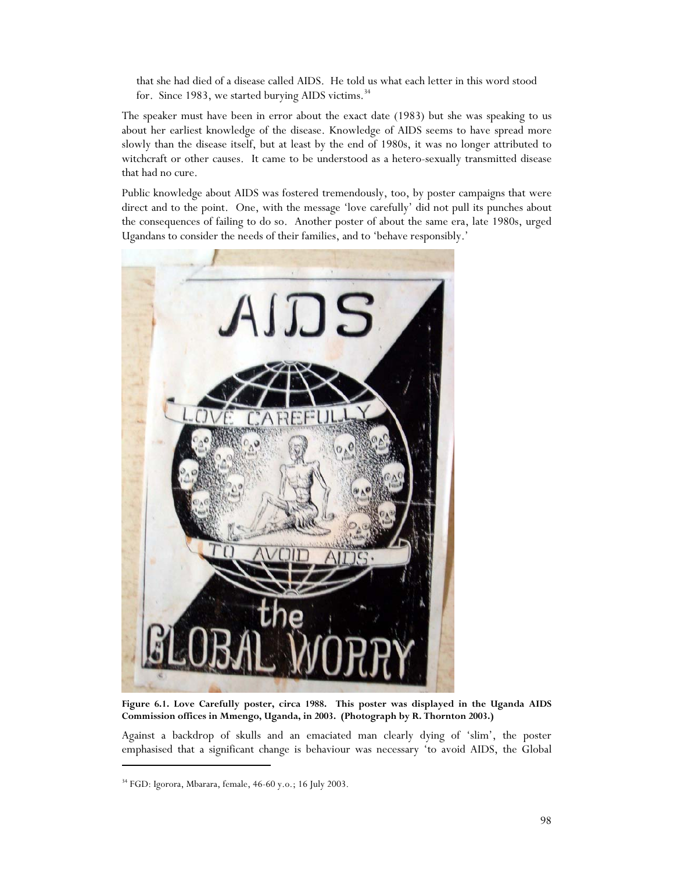that she had died of a disease called AIDS. He told us what each letter in this word stood for. Since 1983, we started burying AIDS victims.<sup>34</sup>

The speaker must have been in error about the exact date (1983) but she was speaking to us about her earliest knowledge of the disease. Knowledge of AIDS seems to have spread more slowly than the disease itself, but at least by the end of 1980s, it was no longer attributed to witchcraft or other causes. It came to be understood as a hetero-sexually transmitted disease that had no cure.

Public knowledge about AIDS was fostered tremendously, too, by poster campaigns that were direct and to the point. One, with the message 'love carefully' did not pull its punches about the consequences of failing to do so. Another poster of about the same era, late 1980s, urged Ugandans to consider the needs of their families, and to 'behave responsibly.'



**Figure 6.1. Love Carefully poster, circa 1988. This poster was displayed in the Uganda AIDS Commission offices in Mmengo, Uganda, in 2003. (Photograph by R. Thornton 2003.)** 

Against a backdrop of skulls and an emaciated man clearly dying of 'slim', the poster emphasised that a significant change is behaviour was necessary 'to avoid AIDS, the Global

<sup>34</sup> FGD: Igorora, Mbarara, female, 46-60 y.o.; 16 July 2003.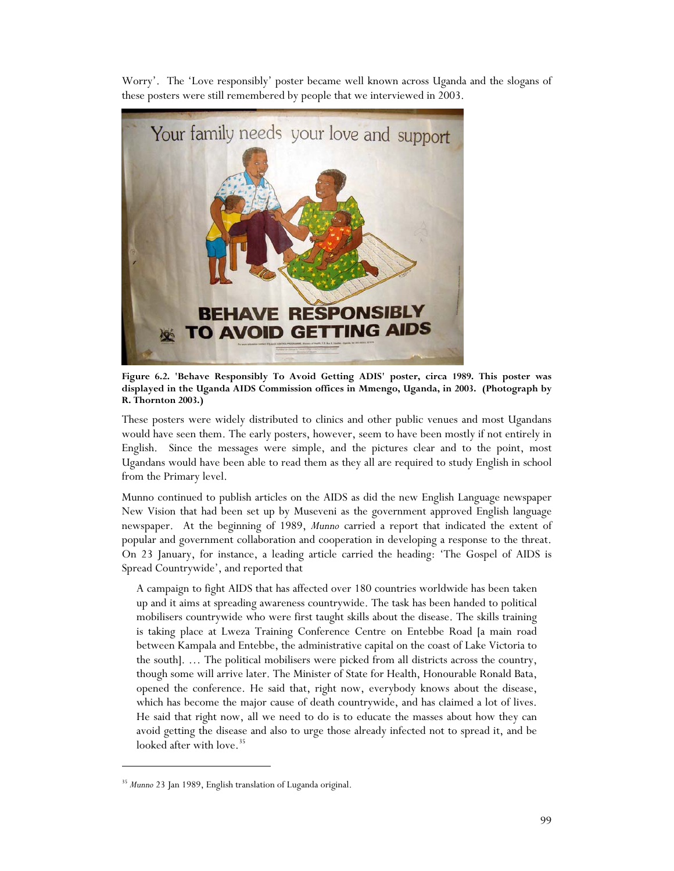Worry'. The 'Love responsibly' poster became well known across Uganda and the slogans of these posters were still remembered by people that we interviewed in 2003.



**Figure 6.2. 'Behave Responsibly To Avoid Getting ADIS' poster, circa 1989. This poster was displayed in the Uganda AIDS Commission offices in Mmengo, Uganda, in 2003. (Photograph by R. Thornton 2003.)** 

These posters were widely distributed to clinics and other public venues and most Ugandans would have seen them. The early posters, however, seem to have been mostly if not entirely in English. Since the messages were simple, and the pictures clear and to the point, most Ugandans would have been able to read them as they all are required to study English in school from the Primary level.

Munno continued to publish articles on the AIDS as did the new English Language newspaper New Vision that had been set up by Museveni as the government approved English language newspaper. At the beginning of 1989, *Munno* carried a report that indicated the extent of popular and government collaboration and cooperation in developing a response to the threat. On 23 January, for instance, a leading article carried the heading: 'The Gospel of AIDS is Spread Countrywide', and reported that

A campaign to fight AIDS that has affected over 180 countries worldwide has been taken up and it aims at spreading awareness countrywide. The task has been handed to political mobilisers countrywide who were first taught skills about the disease. The skills training is taking place at Lweza Training Conference Centre on Entebbe Road [a main road between Kampala and Entebbe, the administrative capital on the coast of Lake Victoria to the south]. … The political mobilisers were picked from all districts across the country, though some will arrive later. The Minister of State for Health, Honourable Ronald Bata, opened the conference. He said that, right now, everybody knows about the disease, which has become the major cause of death countrywide, and has claimed a lot of lives. He said that right now, all we need to do is to educate the masses about how they can avoid getting the disease and also to urge those already infected not to spread it, and be looked after with love.<sup>35</sup>

<sup>35</sup> *Munno* 23 Jan 1989, English translation of Luganda original.